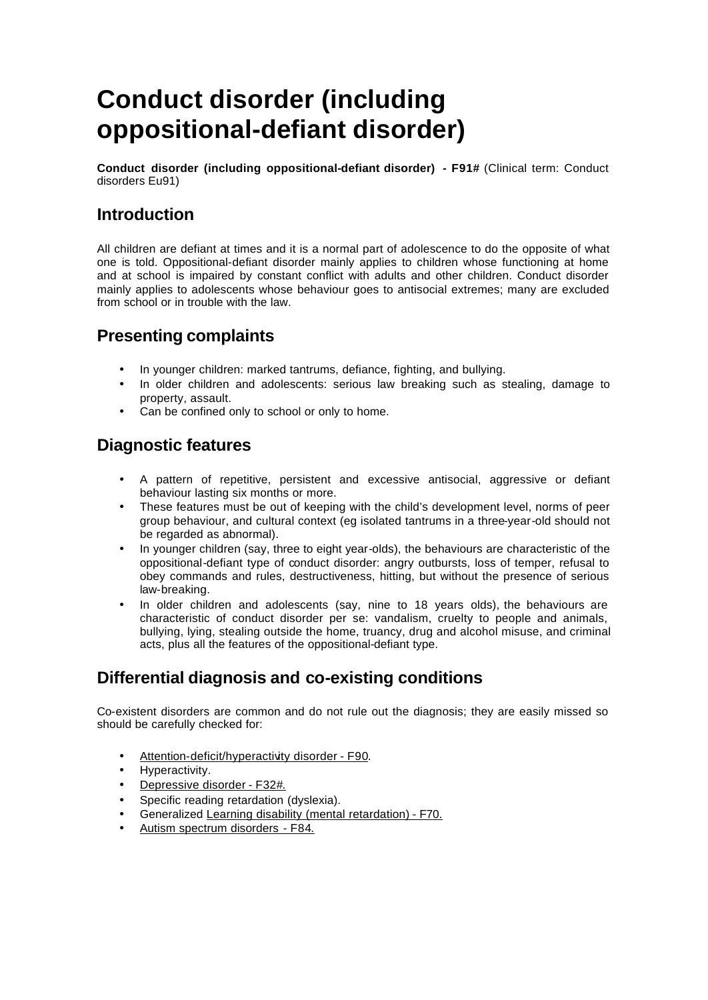# **Conduct disorder (including oppositional-defiant disorder)**

**Conduct disorder (including oppositional-defiant disorder) - F91#** (Clinical term: Conduct disorders Eu91)

# **Introduction**

All children are defiant at times and it is a normal part of adolescence to do the opposite of what one is told. Oppositional-defiant disorder mainly applies to children whose functioning at home and at school is impaired by constant conflict with adults and other children. Conduct disorder mainly applies to adolescents whose behaviour goes to antisocial extremes; many are excluded from school or in trouble with the law.

# **Presenting complaints**

- In younger children: marked tantrums, defiance, fighting, and bullying.
- In older children and adolescents: serious law breaking such as stealing, damage to property, assault.
- Can be confined only to school or only to home.

# **Diagnostic features**

- A pattern of repetitive, persistent and excessive antisocial, aggressive or defiant behaviour lasting six months or more.
- These features must be out of keeping with the child's development level, norms of peer group behaviour, and cultural context (eg isolated tantrums in a three-year-old should not be regarded as abnormal).
- In younger children (say, three to eight year-olds), the behaviours are characteristic of the oppositional-defiant type of conduct disorder: angry outbursts, loss of temper, refusal to obey commands and rules, destructiveness, hitting, but without the presence of serious law-breaking.
- In older children and adolescents (say, nine to 18 years olds), the behaviours are characteristic of conduct disorder per se: vandalism, cruelty to people and animals, bullying, lying, stealing outside the home, truancy, drug and alcohol misuse, and criminal acts, plus all the features of the oppositional-defiant type.

# **Differential diagnosis and co-existing conditions**

Co-existent disorders are common and do not rule out the diagnosis; they are easily missed so should be carefully checked for:

- Attention-deficit/hyperactivity disorder F90.
- Hyperactivity.
- Depressive disorder F32#.
- Specific reading retardation (dyslexia).
- Generalized Learning disability (mental retardation) F70.
- Autism spectrum disorders F84.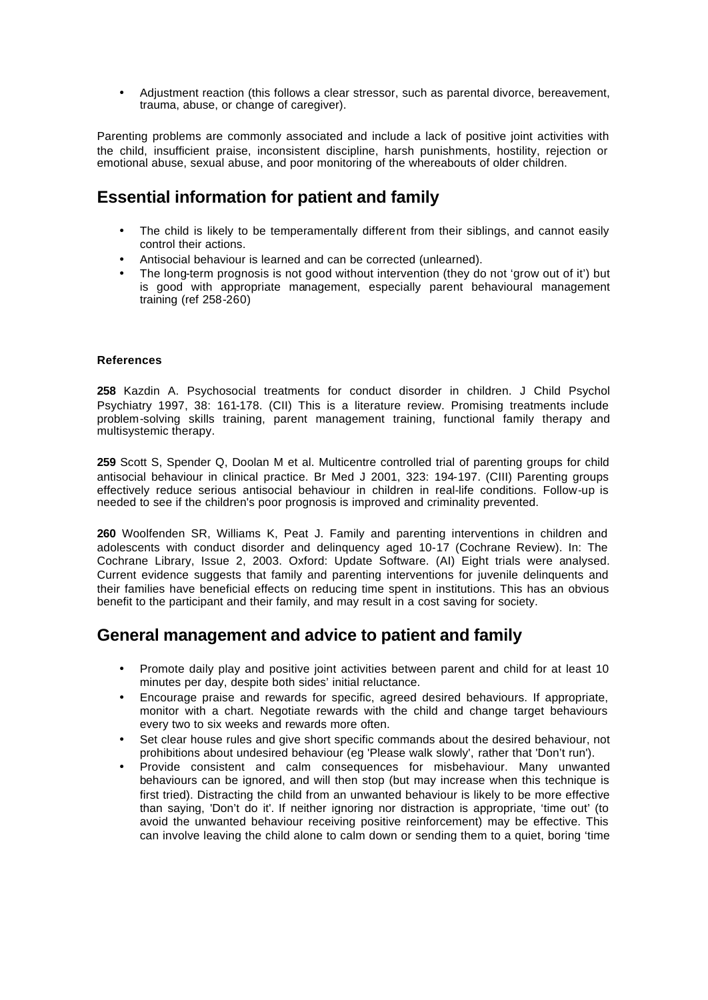• Adjustment reaction (this follows a clear stressor, such as parental divorce, bereavement, trauma, abuse, or change of caregiver).

Parenting problems are commonly associated and include a lack of positive joint activities with the child, insufficient praise, inconsistent discipline, harsh punishments, hostility, rejection or emotional abuse, sexual abuse, and poor monitoring of the whereabouts of older children.

## **Essential information for patient and family**

- The child is likely to be temperamentally different from their siblings, and cannot easily control their actions.
- Antisocial behaviour is learned and can be corrected (unlearned).
- The long-term prognosis is not good without intervention (they do not 'grow out of it') but is good with appropriate management, especially parent behavioural management training (ref 258-260)

#### **References**

**258** Kazdin A. Psychosocial treatments for conduct disorder in children. J Child Psychol Psychiatry 1997, 38: 161-178. (CII) This is a literature review. Promising treatments include problem-solving skills training, parent management training, functional family therapy and multisystemic therapy.

**259** Scott S, Spender Q, Doolan M et al. Multicentre controlled trial of parenting groups for child antisocial behaviour in clinical practice. Br Med J 2001, 323: 194-197. (CIII) Parenting groups effectively reduce serious antisocial behaviour in children in real-life conditions. Follow-up is needed to see if the children's poor prognosis is improved and criminality prevented.

**260** Woolfenden SR, Williams K, Peat J. Family and parenting interventions in children and adolescents with conduct disorder and delinquency aged 10-17 (Cochrane Review). In: The Cochrane Library, Issue 2, 2003. Oxford: Update Software. (AI) Eight trials were analysed. Current evidence suggests that family and parenting interventions for juvenile delinquents and their families have beneficial effects on reducing time spent in institutions. This has an obvious benefit to the participant and their family, and may result in a cost saving for society.

### **General management and advice to patient and family**

- Promote daily play and positive joint activities between parent and child for at least 10 minutes per day, despite both sides' initial reluctance.
- Encourage praise and rewards for specific, agreed desired behaviours. If appropriate, monitor with a chart. Negotiate rewards with the child and change target behaviours every two to six weeks and rewards more often.
- Set clear house rules and give short specific commands about the desired behaviour, not prohibitions about undesired behaviour (eg 'Please walk slowly', rather that 'Don't run').
- Provide consistent and calm consequences for misbehaviour. Many unwanted behaviours can be ignored, and will then stop (but may increase when this technique is first tried). Distracting the child from an unwanted behaviour is likely to be more effective than saying, 'Don't do it'. If neither ignoring nor distraction is appropriate, 'time out' (to avoid the unwanted behaviour receiving positive reinforcement) may be effective. This can involve leaving the child alone to calm down or sending them to a quiet, boring 'time